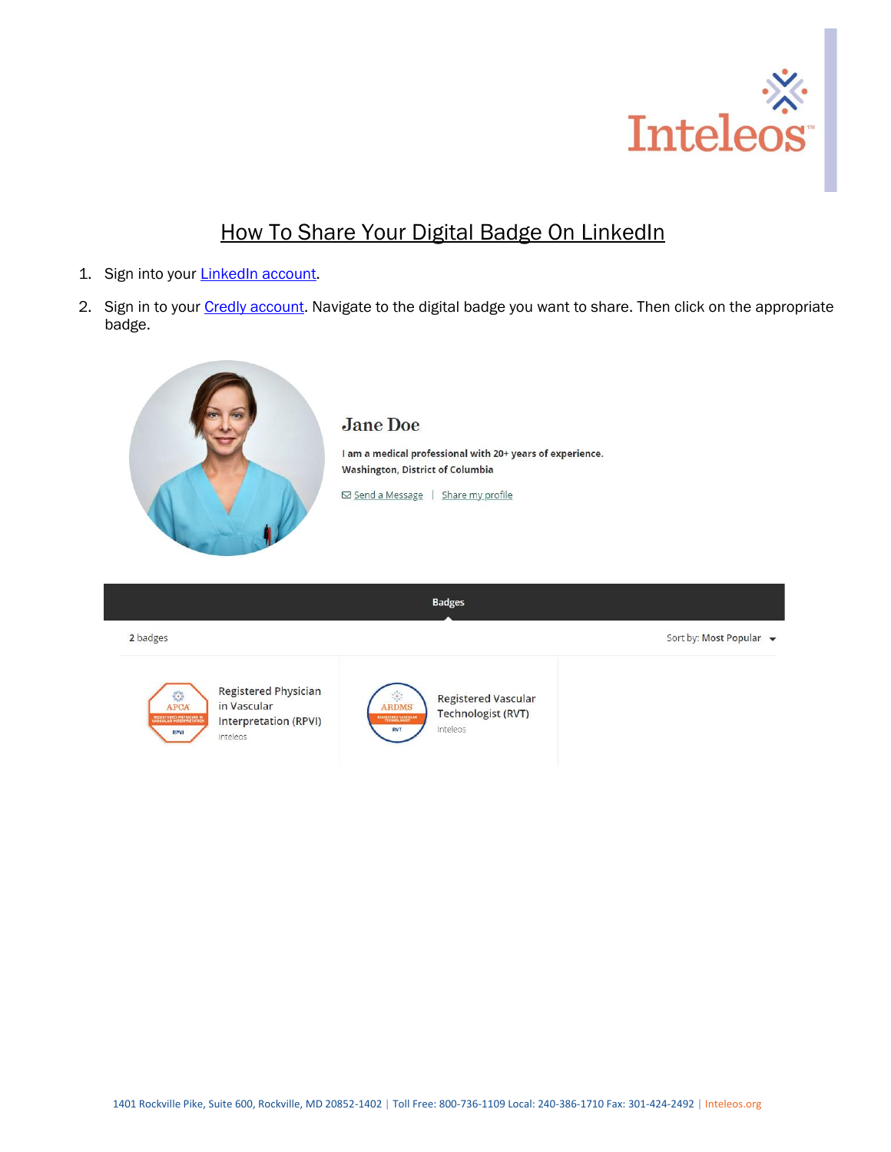

## How To Share Your Digital Badge On LinkedIn

- 1. Sign into your **LinkedIn account**.
- 2. Sign in to your [Credly account.](https://www.credly.com/users/sign_in) Navigate to the digital badge you want to share. Then click on the appropriate badge.



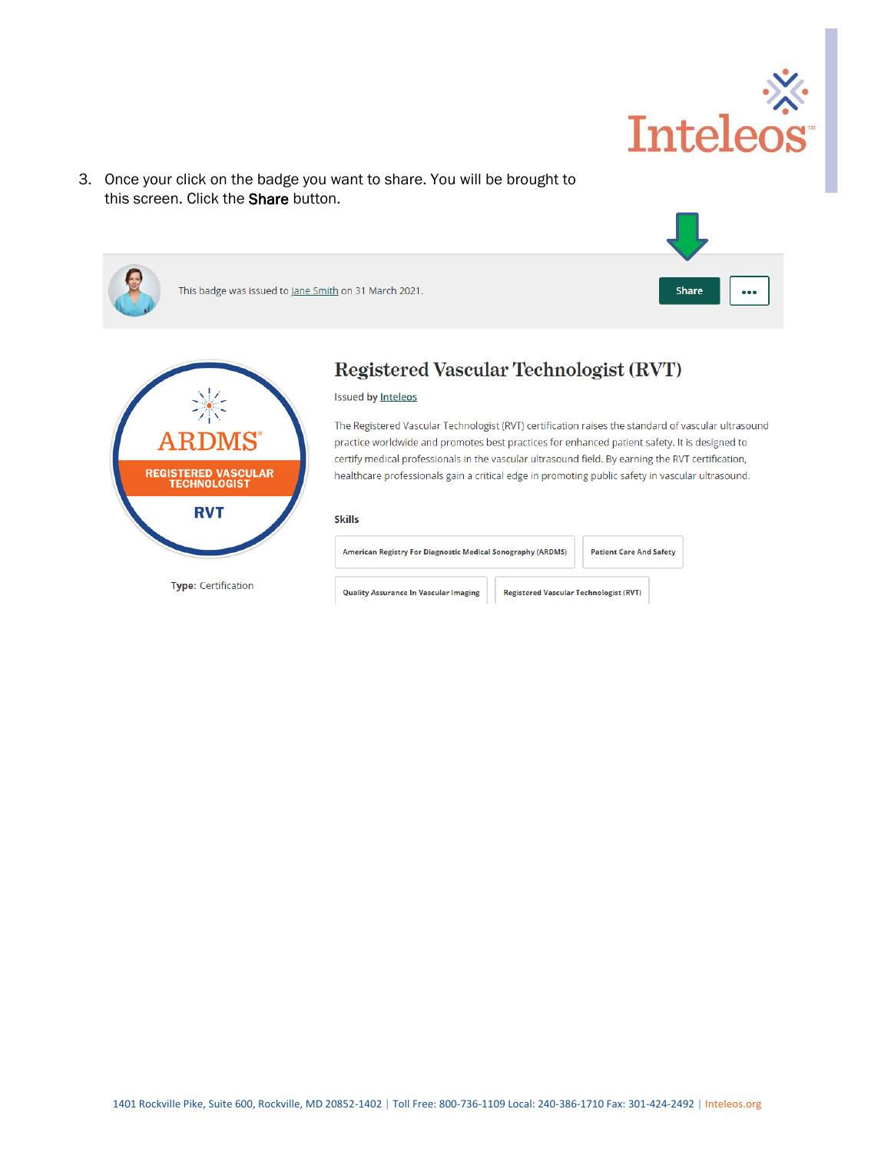

3. Once your click on the badge you want to share. You will be brought to this screen. Click the Share button.

| This badge was issued to Jane Smith on 31 March 2021.             |                                                                                                                                                                                                                                                                                                        | Share<br> |  |  |  |  |
|-------------------------------------------------------------------|--------------------------------------------------------------------------------------------------------------------------------------------------------------------------------------------------------------------------------------------------------------------------------------------------------|-----------|--|--|--|--|
|                                                                   | <b>Registered Vascular Technologist (RVT)</b><br><b>Issued by Inteleos</b><br>The Registered Vascular Technologist (RVT) certification raises the standard of vascular ultrasound                                                                                                                      |           |  |  |  |  |
| <b>ARDMS</b><br><b>REGISTERED VASCULAR</b><br><b>TECHNOLOGIST</b> | practice worldwide and promotes best practices for enhanced patient safety. It is designed to<br>certify medical professionals in the vascular ultrasound field. By earning the RVT certification,<br>healthcare professionals gain a critical edge in promoting public safety in vascular ultrasound. |           |  |  |  |  |

## **Skills**

**RVT** 

**Type:** Certification

| American Registry For Diagnostic Medical Sonography (ARDMS) |                                               | <b>Patient Care And Safety</b> |  |
|-------------------------------------------------------------|-----------------------------------------------|--------------------------------|--|
| <b>Quality Assurance In Vascular Imaging</b>                | <b>Registered Vascular Technologist (RVT)</b> |                                |  |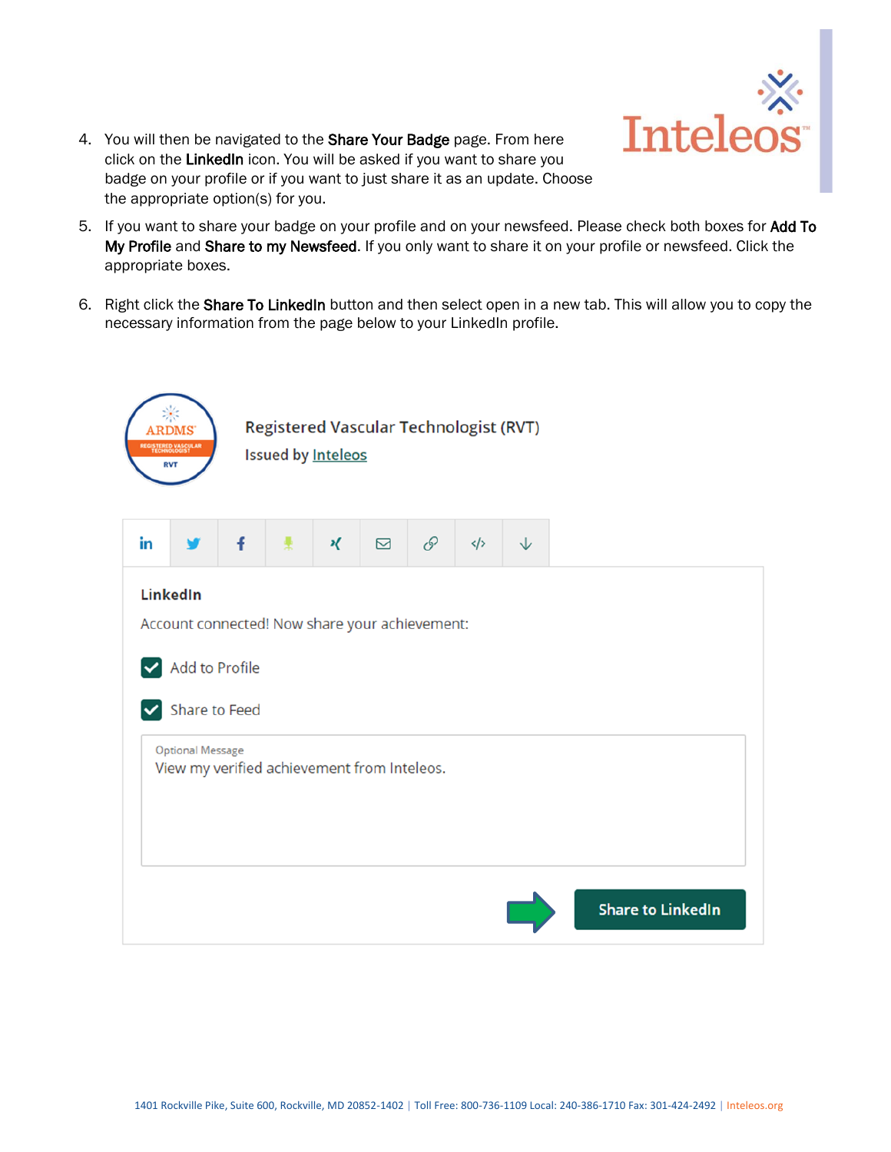

- 4. You will then be navigated to the Share Your Badge page. From here click on the LinkedIn icon. You will be asked if you want to share you badge on your profile or if you want to just share it as an update. Choose the appropriate option(s) for you.
- 5. If you want to share your badge on your profile and on your newsfeed. Please check both boxes for Add To My Profile and Share to my Newsfeed. If you only want to share it on your profile or newsfeed. Click the appropriate boxes.
- 6. Right click the Share To LinkedIn button and then select open in a new tab. This will allow you to copy the necessary information from the page below to your LinkedIn profile.

|    | <b>ARDMS</b><br><b>REGISTERED VASCULAR</b><br><b>RVT</b>                                                                                                                         |   | <b>Issued by Inteleos</b> |   | <b>Registered Vascular Technologist (RVT)</b> |               |                   |   |                          |  |
|----|----------------------------------------------------------------------------------------------------------------------------------------------------------------------------------|---|---------------------------|---|-----------------------------------------------|---------------|-------------------|---|--------------------------|--|
| in |                                                                                                                                                                                  | f | 톷                         | κ | $\Box$                                        | $\mathscr{O}$ | $\langle \rangle$ | ↓ |                          |  |
|    | <b>LinkedIn</b><br>Account connected! Now share your achievement:<br>M Add to Profile<br>Share to Feed<br><b>Optional Message</b><br>View my verified achievement from Inteleos. |   |                           |   |                                               |               |                   |   |                          |  |
|    |                                                                                                                                                                                  |   |                           |   |                                               |               |                   |   | <b>Share to LinkedIn</b> |  |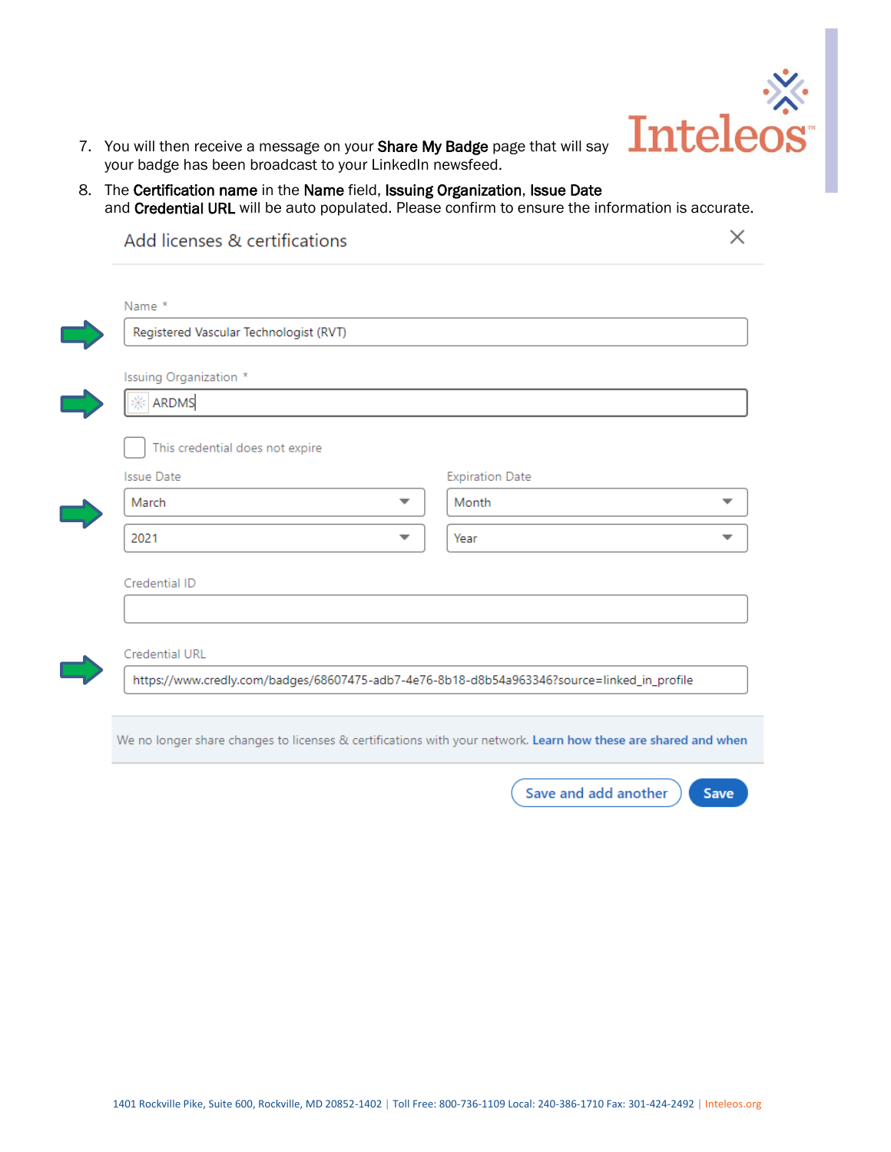

- 7. You will then receive a message on your Share My Badge page that will say your badge has been broadcast to your LinkedIn newsfeed.
- 8. The Certification name in the Name field, Issuing Organization, Issue Date and Credential URL will be auto populated. Please confirm to ensure the information is accurate.

| Registered Vascular Technologist (RVT) |   |                                 |  |
|----------------------------------------|---|---------------------------------|--|
| Issuing Organization *                 |   |                                 |  |
| ARDMS                                  |   |                                 |  |
| <b>Issue Date</b><br>March             |   | <b>Expiration Date</b><br>Month |  |
| 2021                                   | ▼ | Year                            |  |
| Credential ID                          |   |                                 |  |
|                                        |   |                                 |  |

We no longer share changes to licenses & certifications with your network. Learn how these are shared and when